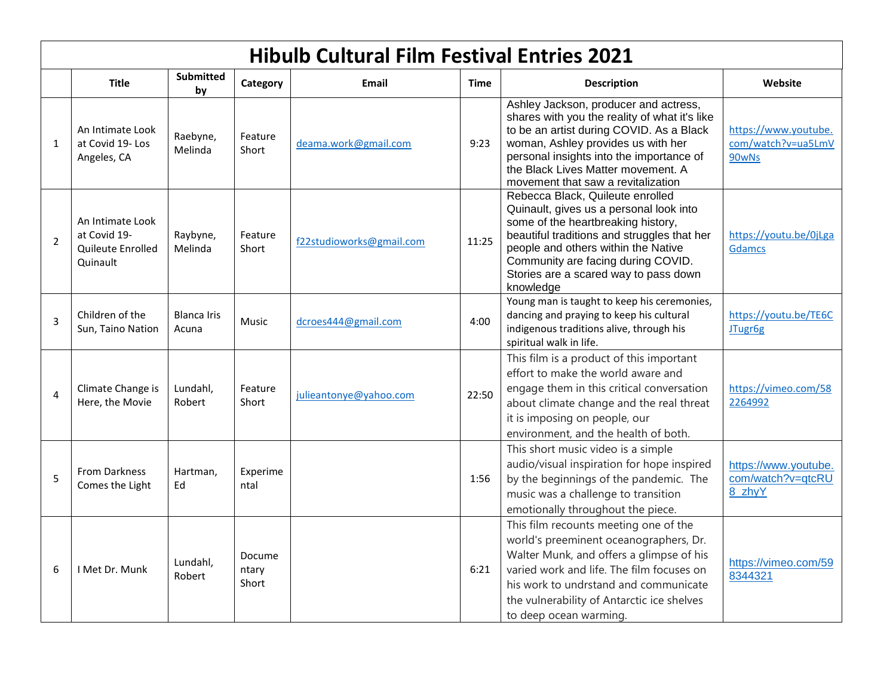|                | <b>Hibulb Cultural Film Festival Entries 2021</b>                 |                             |                          |                          |             |                                                                                                                                                                                                                                                                                                     |                                                     |
|----------------|-------------------------------------------------------------------|-----------------------------|--------------------------|--------------------------|-------------|-----------------------------------------------------------------------------------------------------------------------------------------------------------------------------------------------------------------------------------------------------------------------------------------------------|-----------------------------------------------------|
|                | <b>Title</b>                                                      | <b>Submitted</b><br>by      | Category                 | Email                    | <b>Time</b> | <b>Description</b>                                                                                                                                                                                                                                                                                  | Website                                             |
| $\mathbf{1}$   | An Intimate Look<br>at Covid 19-Los<br>Angeles, CA                | Raebyne,<br>Melinda         | Feature<br>Short         | deama.work@gmail.com     | 9:23        | Ashley Jackson, producer and actress,<br>shares with you the reality of what it's like<br>to be an artist during COVID. As a Black<br>woman, Ashley provides us with her<br>personal insights into the importance of<br>the Black Lives Matter movement. A<br>movement that saw a revitalization    | https://www.youtube.<br>com/watch?v=ua5LmV<br>90wNs |
| $\overline{2}$ | An Intimate Look<br>at Covid 19-<br>Quileute Enrolled<br>Quinault | Raybyne,<br>Melinda         | Feature<br>Short         | f22studioworks@gmail.com | 11:25       | Rebecca Black, Quileute enrolled<br>Quinault, gives us a personal look into<br>some of the heartbreaking history,<br>beautiful traditions and struggles that her<br>people and others within the Native<br>Community are facing during COVID.<br>Stories are a scared way to pass down<br>knowledge | https://youtu.be/0jLga<br><b>Gdamcs</b>             |
| $\overline{3}$ | Children of the<br>Sun, Taino Nation                              | <b>Blanca Iris</b><br>Acuna | Music                    | dcroes444@gmail.com      | 4:00        | Young man is taught to keep his ceremonies,<br>dancing and praying to keep his cultural<br>indigenous traditions alive, through his<br>spiritual walk in life.                                                                                                                                      | https://youtu.be/TE6C<br>JTugr6g                    |
| $\overline{4}$ | Climate Change is<br>Here, the Movie                              | Lundahl,<br>Robert          | Feature<br>Short         | julieantonye@yahoo.com   | 22:50       | This film is a product of this important<br>effort to make the world aware and<br>engage them in this critical conversation<br>about climate change and the real threat<br>it is imposing on people, our<br>environment, and the health of both.                                                    | https://vimeo.com/58<br>2264992                     |
| 5              | <b>From Darkness</b><br>Comes the Light                           | Hartman,<br>Ed              | Experime<br>ntal         |                          | 1:56        | This short music video is a simple<br>audio/visual inspiration for hope inspired<br>by the beginnings of the pandemic. The<br>music was a challenge to transition<br>emotionally throughout the piece.                                                                                              | https://www.youtube.<br>com/watch?v=qtcRU<br>8 zhyY |
| 6              | I Met Dr. Munk                                                    | Lundahl,<br>Robert          | Docume<br>ntary<br>Short |                          | 6:21        | This film recounts meeting one of the<br>world's preeminent oceanographers, Dr.<br>Walter Munk, and offers a glimpse of his<br>varied work and life. The film focuses on<br>his work to undrstand and communicate<br>the vulnerability of Antarctic ice shelves<br>to deep ocean warming.           | https://vimeo.com/59<br>8344321                     |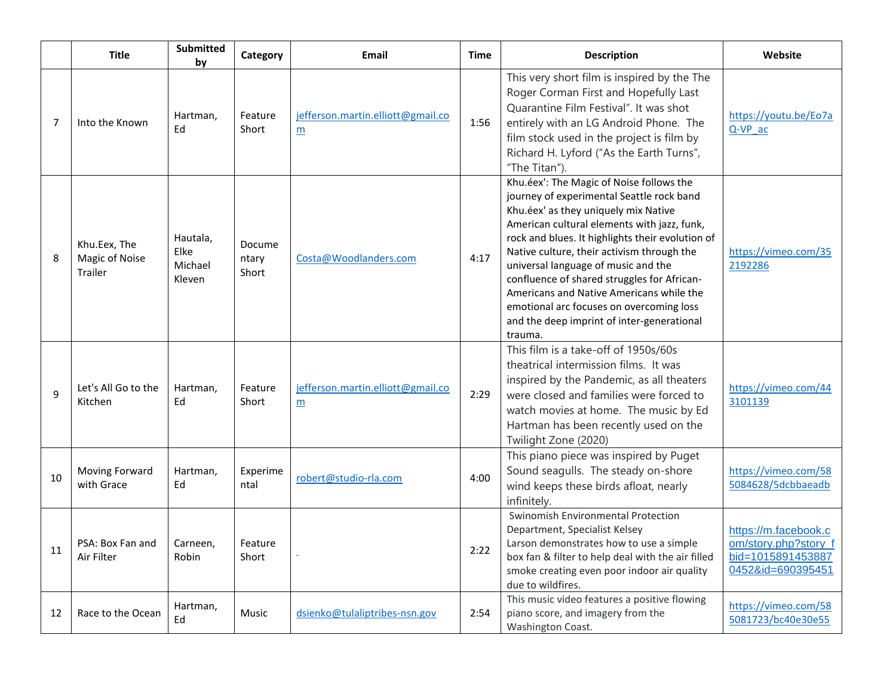|    | <b>Title</b>                              | Submitted<br>by                       | Category                 | Email                                  | Time | <b>Description</b>                                                                                                                                                                                                                                                                                                                                                                                                                                                                                                    | Website                                                                                |
|----|-------------------------------------------|---------------------------------------|--------------------------|----------------------------------------|------|-----------------------------------------------------------------------------------------------------------------------------------------------------------------------------------------------------------------------------------------------------------------------------------------------------------------------------------------------------------------------------------------------------------------------------------------------------------------------------------------------------------------------|----------------------------------------------------------------------------------------|
| 7  | Into the Known                            | Hartman,<br>Ed                        | Feature<br>Short         | jefferson.martin.elliott@gmail.co<br>m | 1:56 | This very short film is inspired by the The<br>Roger Corman First and Hopefully Last<br>Quarantine Film Festival". It was shot<br>entirely with an LG Android Phone. The<br>film stock used in the project is film by<br>Richard H. Lyford ("As the Earth Turns",<br>"The Titan").                                                                                                                                                                                                                                    | https://youtu.be/Eo7a<br>Q-VP ac                                                       |
| 8  | Khu.Eex, The<br>Magic of Noise<br>Trailer | Hautala,<br>Elke<br>Michael<br>Kleven | Docume<br>ntary<br>Short | Costa@Woodlanders.com                  | 4:17 | Khu.éex': The Magic of Noise follows the<br>journey of experimental Seattle rock band<br>Khu.éex' as they uniquely mix Native<br>American cultural elements with jazz, funk,<br>rock and blues. It highlights their evolution of<br>Native culture, their activism through the<br>universal language of music and the<br>confluence of shared struggles for African-<br>Americans and Native Americans while the<br>emotional arc focuses on overcoming loss<br>and the deep imprint of inter-generational<br>trauma. | https://vimeo.com/35<br>2192286                                                        |
| 9  | Let's All Go to the<br>Kitchen            | Hartman,<br>Ed                        | Feature<br>Short         | jefferson.martin.elliott@gmail.co<br>m | 2:29 | This film is a take-off of 1950s/60s<br>theatrical intermission films. It was<br>inspired by the Pandemic, as all theaters<br>were closed and families were forced to<br>watch movies at home. The music by Ed<br>Hartman has been recently used on the<br>Twilight Zone (2020)                                                                                                                                                                                                                                       | https://vimeo.com/44<br>3101139                                                        |
| 10 | Moving Forward<br>with Grace              | Hartman,<br>Ed                        | Experime<br>ntal         | robert@studio-rla.com                  | 4:00 | This piano piece was inspired by Puget<br>Sound seagulls. The steady on-shore<br>wind keeps these birds afloat, nearly<br>infinitely.                                                                                                                                                                                                                                                                                                                                                                                 | https://vimeo.com/58<br>5084628/5dcbbaeadb                                             |
| 11 | PSA: Box Fan and<br>Air Filter            | Carneen,<br>Robin                     | Feature<br>Short         |                                        | 2:22 | Swinomish Environmental Protection<br>Department, Specialist Kelsey<br>Larson demonstrates how to use a simple<br>box fan & filter to help deal with the air filled<br>smoke creating even poor indoor air quality<br>due to wildfires.                                                                                                                                                                                                                                                                               | https://m.facebook.c<br>om/story.php?story_f<br>bid=1015891453887<br>0452&id=690395451 |
| 12 | Race to the Ocean                         | Hartman,<br>Ed                        | Music                    | dsienko@tulaliptribes-nsn.gov          | 2:54 | This music video features a positive flowing<br>piano score, and imagery from the<br>Washington Coast.                                                                                                                                                                                                                                                                                                                                                                                                                | https://vimeo.com/58<br>5081723/bc40e30e55                                             |